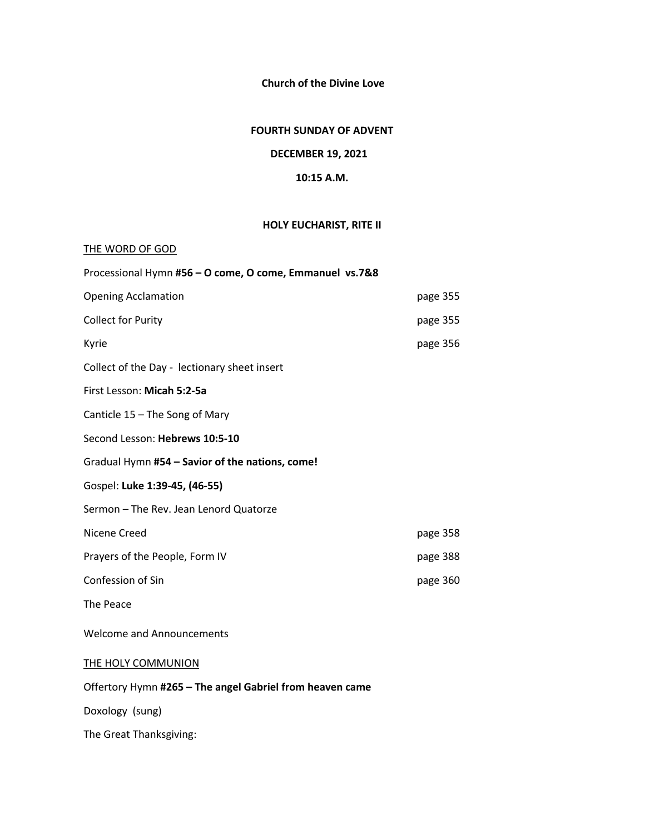**Church of the Divine Love**

#### **FOURTH SUNDAY OF ADVENT**

### **DECEMBER 19, 2021**

#### **10:15 A.M.**

### **HOLY EUCHARIST, RITE II**

| THE WORD OF GOD                                          |          |
|----------------------------------------------------------|----------|
| Processional Hymn #56 - O come, O come, Emmanuel vs.7&8  |          |
| <b>Opening Acclamation</b>                               | page 355 |
| <b>Collect for Purity</b>                                | page 355 |
| Kyrie                                                    | page 356 |
| Collect of the Day - lectionary sheet insert             |          |
| First Lesson: Micah 5:2-5a                               |          |
| Canticle 15 - The Song of Mary                           |          |
| Second Lesson: Hebrews 10:5-10                           |          |
| Gradual Hymn #54 - Savior of the nations, come!          |          |
| Gospel: Luke 1:39-45, (46-55)                            |          |
| Sermon - The Rev. Jean Lenord Quatorze                   |          |
| Nicene Creed                                             | page 358 |
| Prayers of the People, Form IV                           | page 388 |
| Confession of Sin                                        | page 360 |
| The Peace                                                |          |
| <b>Welcome and Announcements</b>                         |          |
| THE HOLY COMMUNION                                       |          |
| Offertory Hymn #265 - The angel Gabriel from heaven came |          |
| Doxology (sung)                                          |          |
| The Great Thanksgiving:                                  |          |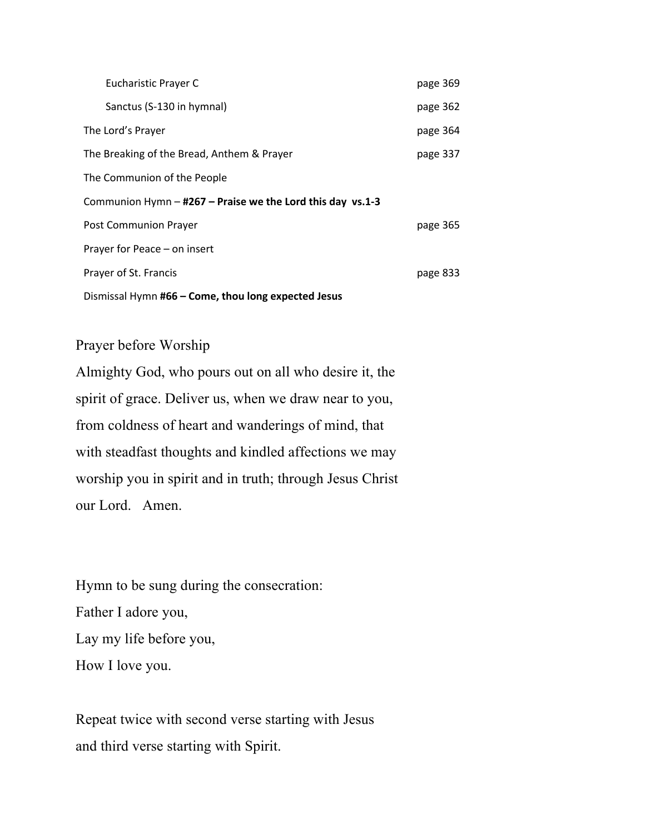| Eucharistic Prayer C                                         | page 369 |  |  |  |
|--------------------------------------------------------------|----------|--|--|--|
| Sanctus (S-130 in hymnal)                                    | page 362 |  |  |  |
| The Lord's Prayer                                            | page 364 |  |  |  |
| The Breaking of the Bread, Anthem & Prayer                   | page 337 |  |  |  |
| The Communion of the People                                  |          |  |  |  |
| Communion Hymn $-$ #267 – Praise we the Lord this day vs.1-3 |          |  |  |  |
| Post Communion Prayer                                        | page 365 |  |  |  |
| Prayer for Peace - on insert                                 |          |  |  |  |
| Prayer of St. Francis                                        | page 833 |  |  |  |
| Dismissal Hymn #66 - Come, thou long expected Jesus          |          |  |  |  |

# Prayer before Worship

Almighty God, who pours out on all who desire it, the spirit of grace. Deliver us, when we draw near to you, from coldness of heart and wanderings of mind, that with steadfast thoughts and kindled affections we may worship you in spirit and in truth; through Jesus Christ our Lord. Amen.

Hymn to be sung during the consecration: Father I adore you, Lay my life before you, How I love you.

Repeat twice with second verse starting with Jesus and third verse starting with Spirit.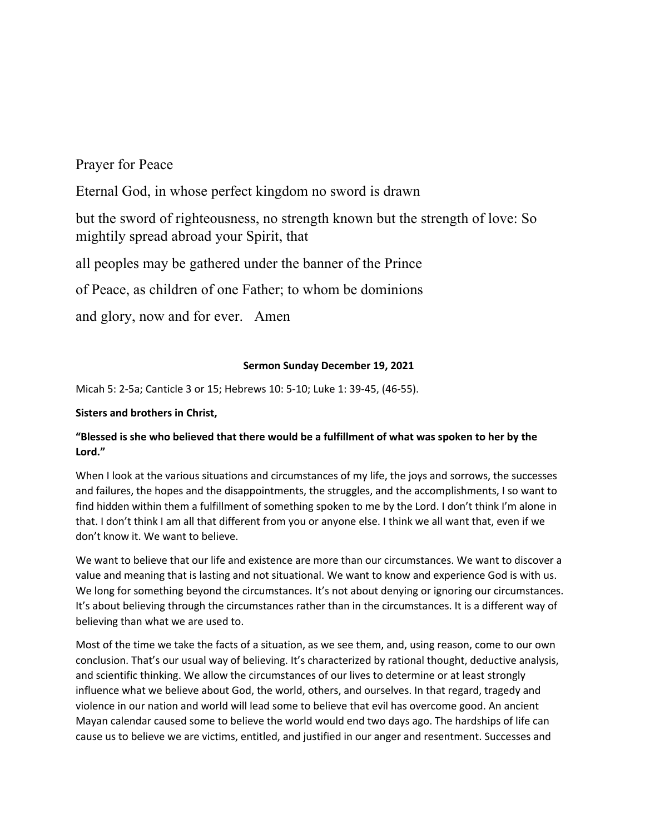### Prayer for Peace

Eternal God, in whose perfect kingdom no sword is drawn

but the sword of righteousness, no strength known but the strength of love: So mightily spread abroad your Spirit, that

all peoples may be gathered under the banner of the Prince

of Peace, as children of one Father; to whom be dominions

and glory, now and for ever. Amen

#### **Sermon Sunday December 19, 2021**

Micah 5: 2-5a; Canticle 3 or 15; Hebrews 10: 5-10; Luke 1: 39-45, (46-55).

### **Sisters and brothers in Christ,**

### **"Blessed is she who believed that there would be a fulfillment of what was spoken to her by the Lord."**

When I look at the various situations and circumstances of my life, the joys and sorrows, the successes and failures, the hopes and the disappointments, the struggles, and the accomplishments, I so want to find hidden within them a fulfillment of something spoken to me by the Lord. I don't think I'm alone in that. I don't think I am all that different from you or anyone else. I think we all want that, even if we don't know it. We want to believe.

We want to believe that our life and existence are more than our circumstances. We want to discover a value and meaning that is lasting and not situational. We want to know and experience God is with us. We long for something beyond the circumstances. It's not about denying or ignoring our circumstances. It's about believing through the circumstances rather than in the circumstances. It is a different way of believing than what we are used to.

Most of the time we take the facts of a situation, as we see them, and, using reason, come to our own conclusion. That's our usual way of believing. It's characterized by rational thought, deductive analysis, and scientific thinking. We allow the circumstances of our lives to determine or at least strongly influence what we believe about God, the world, others, and ourselves. In that regard, tragedy and violence in our nation and world will lead some to believe that evil has overcome good. An ancient Mayan calendar caused some to believe the world would end two days ago. The hardships of life can cause us to believe we are victims, entitled, and justified in our anger and resentment. Successes and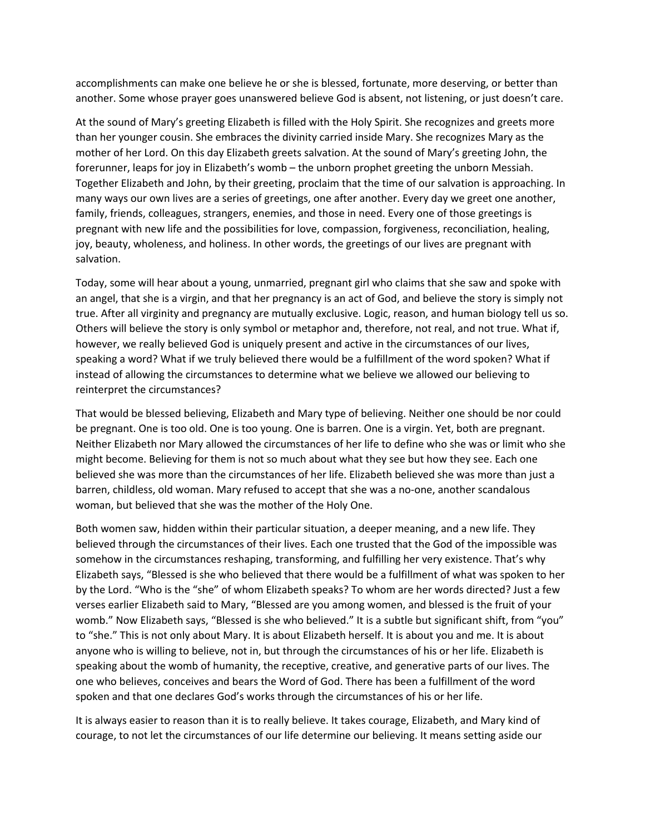accomplishments can make one believe he or she is blessed, fortunate, more deserving, or better than another. Some whose prayer goes unanswered believe God is absent, not listening, or just doesn't care.

At the sound of Mary's greeting Elizabeth is filled with the Holy Spirit. She recognizes and greets more than her younger cousin. She embraces the divinity carried inside Mary. She recognizes Mary as the mother of her Lord. On this day Elizabeth greets salvation. At the sound of Mary's greeting John, the forerunner, leaps for joy in Elizabeth's womb – the unborn prophet greeting the unborn Messiah. Together Elizabeth and John, by their greeting, proclaim that the time of our salvation is approaching. In many ways our own lives are a series of greetings, one after another. Every day we greet one another, family, friends, colleagues, strangers, enemies, and those in need. Every one of those greetings is pregnant with new life and the possibilities for love, compassion, forgiveness, reconciliation, healing, joy, beauty, wholeness, and holiness. In other words, the greetings of our lives are pregnant with salvation.

Today, some will hear about a young, unmarried, pregnant girl who claims that she saw and spoke with an angel, that she is a virgin, and that her pregnancy is an act of God, and believe the story is simply not true. After all virginity and pregnancy are mutually exclusive. Logic, reason, and human biology tell us so. Others will believe the story is only symbol or metaphor and, therefore, not real, and not true. What if, however, we really believed God is uniquely present and active in the circumstances of our lives, speaking a word? What if we truly believed there would be a fulfillment of the word spoken? What if instead of allowing the circumstances to determine what we believe we allowed our believing to reinterpret the circumstances?

That would be blessed believing, Elizabeth and Mary type of believing. Neither one should be nor could be pregnant. One is too old. One is too young. One is barren. One is a virgin. Yet, both are pregnant. Neither Elizabeth nor Mary allowed the circumstances of her life to define who she was or limit who she might become. Believing for them is not so much about what they see but how they see. Each one believed she was more than the circumstances of her life. Elizabeth believed she was more than just a barren, childless, old woman. Mary refused to accept that she was a no-one, another scandalous woman, but believed that she was the mother of the Holy One.

Both women saw, hidden within their particular situation, a deeper meaning, and a new life. They believed through the circumstances of their lives. Each one trusted that the God of the impossible was somehow in the circumstances reshaping, transforming, and fulfilling her very existence. That's why Elizabeth says, "Blessed is she who believed that there would be a fulfillment of what was spoken to her by the Lord. "Who is the "she" of whom Elizabeth speaks? To whom are her words directed? Just a few verses earlier Elizabeth said to Mary, "Blessed are you among women, and blessed is the fruit of your womb." Now Elizabeth says, "Blessed is she who believed." It is a subtle but significant shift, from "you" to "she." This is not only about Mary. It is about Elizabeth herself. It is about you and me. It is about anyone who is willing to believe, not in, but through the circumstances of his or her life. Elizabeth is speaking about the womb of humanity, the receptive, creative, and generative parts of our lives. The one who believes, conceives and bears the Word of God. There has been a fulfillment of the word spoken and that one declares God's works through the circumstances of his or her life.

It is always easier to reason than it is to really believe. It takes courage, Elizabeth, and Mary kind of courage, to not let the circumstances of our life determine our believing. It means setting aside our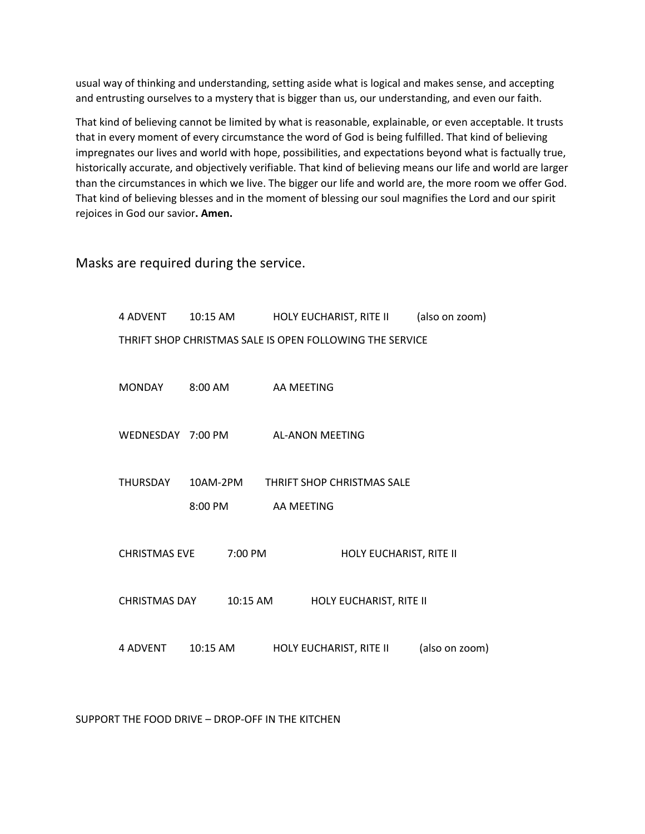usual way of thinking and understanding, setting aside what is logical and makes sense, and accepting and entrusting ourselves to a mystery that is bigger than us, our understanding, and even our faith.

That kind of believing cannot be limited by what is reasonable, explainable, or even acceptable. It trusts that in every moment of every circumstance the word of God is being fulfilled. That kind of believing impregnates our lives and world with hope, possibilities, and expectations beyond what is factually true, historically accurate, and objectively verifiable. That kind of believing means our life and world are larger than the circumstances in which we live. The bigger our life and world are, the more room we offer God. That kind of believing blesses and in the moment of blessing our soul magnifies the Lord and our spirit rejoices in God our savior**. Amen.**

Masks are required during the service.

| <b>4 ADVENT</b>      | 10:15 AM   | HOLY EUCHARIST, RITE II                                  | (also on zoom) |
|----------------------|------------|----------------------------------------------------------|----------------|
|                      |            | THRIFT SHOP CHRISTMAS SALE IS OPEN FOLLOWING THE SERVICE |                |
| <b>MONDAY</b>        | $8:00$ AM  | AA MEETING                                               |                |
| WEDNESDAY 7:00 PM    |            | <b>AL-ANON MEETING</b>                                   |                |
|                      |            |                                                          |                |
| THURSDAY             | 10AM-2PM   | THRIFT SHOP CHRISTMAS SALE                               |                |
|                      | 8:00 PM    | AA MEETING                                               |                |
| <b>CHRISTMAS EVE</b> | 7:00 PM    | HOLY EUCHARIST, RITE II                                  |                |
| <b>CHRISTMAS DAY</b> | 10:15 AM   | HOLY EUCHARIST, RITE II                                  |                |
| 4 ADVENT             | $10:15$ AM | HOLY EUCHARIST, RITE II                                  | (also on zoom) |

SUPPORT THE FOOD DRIVE – DROP-OFF IN THE KITCHEN